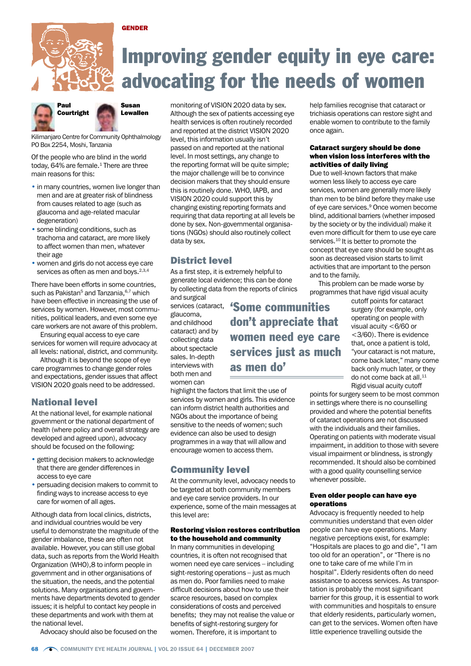

# Improving gender equity in eye care: advocating for the needs of women



GENDER

Kilimanjaro Centre for Community Ophthalmology PO Box 2254, Moshi, Tanzania

Of the people who are blind in the world today,  $64\%$  are female.<sup>1</sup> There are three main reasons for this:

- in many countries, women live longer than men and are at greater risk of blindness from causes related to age (such as glaucoma and age-related macular degeneration)
- some blinding conditions, such as trachoma and cataract, are more likely to affect women than men, whatever their age
- women and girls do not access eye care services as often as men and boys.<sup>2,3,4</sup>

There have been efforts in some countries, such as Pakistan<sup>5</sup> and Tanzania, $6,7$  which have been effective in increasing the use of services by women. However, most communities, political leaders, and even some eye care workers are not aware of this problem.

Ensuring equal access to eye care services for women will require advocacy at all levels: national, district, and community.

Although it is beyond the scope of eye care programmes to change gender roles and expectations, gender issues that affect VISION 2020 goals need to be addressed.

# National level

At the national level, for example national government or the national department of health (where policy and overall strategy are developed and agreed upon), advocacy should be focused on the following:

- getting decision makers to acknowledge that there are gender differences in access to eye care
- persuading decision makers to commit to finding ways to increase access to eye care for women of all ages.

Although data from local clinics, districts, and individual countries would be very useful to demonstrate the magnitude of the gender imbalance, these are often not available. However, you can still use global data, such as reports from the World Health Organization (WHO),8 to inform people in government and in other organisations of the situation, the needs, and the potential solutions. Many organisations and governments have departments devoted to gender issues; it is helpful to contact key people in these departments and work with them at the national level.

Advocacy should also be focused on the

monitoring of VISION 2020 data by sex. Although the sex of patients accessing eye health services is often routinely recorded and reported at the district VISION 2020 level, this information usually isn't passed on and reported at the national level. In most settings, any change to the reporting format will be quite simple; the major challenge will be to convince decision makers that they should ensure this is routinely done. WHO, IAPB, and VISION 2020 could support this by changing existing reporting formats and requiring that data reporting at all levels be done by sex. Non-governmental organisations (NGOs) should also routinely collect data by sex.

# District level

As a first step, it is extremely helpful to generate local evidence; this can be done by collecting data from the reports of clinics and surgical

services (cataract, glaucoma, and childhood cataract) and by collecting data about spectacle sales. In-depth interviews with both men and women can

'Some communities don't appreciate that women need eye care services just as much as men do'

highlight the factors that limit the use of services by women and girls. This evidence can inform district health authorities and NGOs about the importance of being sensitive to the needs of women; such evidence can also be used to design programmes in a way that will allow and encourage women to access them.

# Community level

At the community level, advocacy needs to be targeted at both community members and eye care service providers. In our experience, some of the main messages at this level are:

## Restoring vision restores contribution to the household and community

In many communities in developing countries, it is often not recognised that women need eye care services – including sight-restoring operations – just as much as men do. Poor families need to make difficult decisions about how to use their scarce resources, based on complex considerations of costs and perceived benefits; they may not realise the value or benefits of sight-restoring surgery for women. Therefore, it is important to

help families recognise that cataract or trichiasis operations can restore sight and enable women to contribute to the family once again.

## Cataract surgery should be done when vision loss interferes with the activities of daily living

Due to well-known factors that make women less likely to access eye care services, women are generally more likely than men to be blind before they make use of eye care services.<sup>9</sup> Once women become blind, additional barriers (whether imposed by the society or by the individual) make it even more difficult for them to use eye care services.<sup>10</sup> It is better to promote the concept that eye care should be sought as soon as decreased vision starts to limit activities that are important to the person and to the family.

This problem can be made worse by programmes that have rigid visual acuity

cutoff points for cataract surgery (for example, only operating on people with visual acuity <6/60 or <3/60). There is evidence that, once a patient is told, "your cataract is not mature, come back later," many come back only much later, or they do not come back at all.<sup>11</sup> Rigid visual acuity cutoff

points for surgery seem to be most common in settings where there is no counselling provided and where the potential benefits of cataract operations are not discussed with the individuals and their families. Operating on patients with moderate visual impairment, in addition to those with severe visual impairment or blindness, is strongly recommended. It should also be combined with a good quality counselling service whenever possible.

## Even older people can have eye operations

Advocacy is frequently needed to help communities understand that even older people can have eye operations. Many negative perceptions exist, for example: "Hospitals are places to go and die", "I am too old for an operation", or "There is no one to take care of me while I'm in hospital". Elderly residents often do need assistance to access services. As transportation is probably the most significant barrier for this group, it is essential to work with communities and hospitals to ensure that elderly residents, particularly women, can get to the services. Women often have little experience travelling outside the